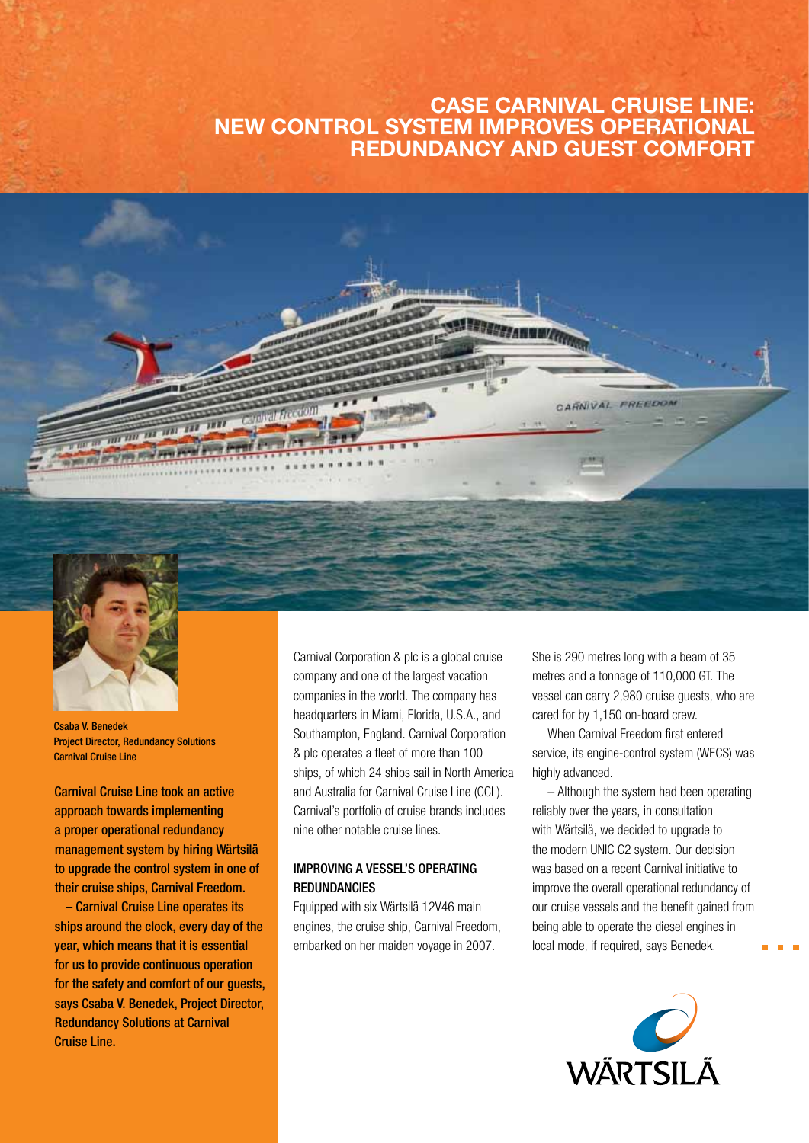### CASE Carnival Cruise Line: NEW CONTROL SYSTEM improves operational redundancy and guest comfort



Csaba V. Benedek Project Director, Redundancy Solutions Carnival Cruise Line

Carnival Cruise Line took an active approach towards implementing a proper operational redundancy management system by hiring Wärtsilä to upgrade the control system in one of their cruise ships, Carnival Freedom.

– Carnival Cruise Line operates its ships around the clock, every day of the year, which means that it is essential for us to provide continuous operation for the safety and comfort of our guests, says Csaba V. Benedek, Project Director, Redundancy Solutions at Carnival Cruise Line.

Carnival Corporation & plc is a global cruise company and one of the largest vacation companies in the world. The company has headquarters in Miami, Florida, U.S.A., and Southampton, England. Carnival Corporation & plc operates a fleet of more than 100 ships, of which 24 ships sail in North America and Australia for Carnival Cruise Line (CCL). Carnival's portfolio of cruise brands includes nine other notable cruise lines.

### Improving a vessel's operating redundancies

Equipped with six Wärtsilä 12V46 main engines, the cruise ship, Carnival Freedom, embarked on her maiden voyage in 2007.

She is 290 metres long with a beam of 35 metres and a tonnage of 110,000 GT. The vessel can carry 2,980 cruise guests, who are cared for by 1,150 on-board crew.

When Carnival Freedom first entered service, its engine-control system (WECS) was highly advanced.

– Although the system had been operating reliably over the years, in consultation with Wärtsilä, we decided to upgrade to the modern UNIC C2 system. Our decision was based on a recent Carnival initiative to improve the overall operational redundancy of our cruise vessels and the benefit gained from being able to operate the diesel engines in local mode, if required, says Benedek.